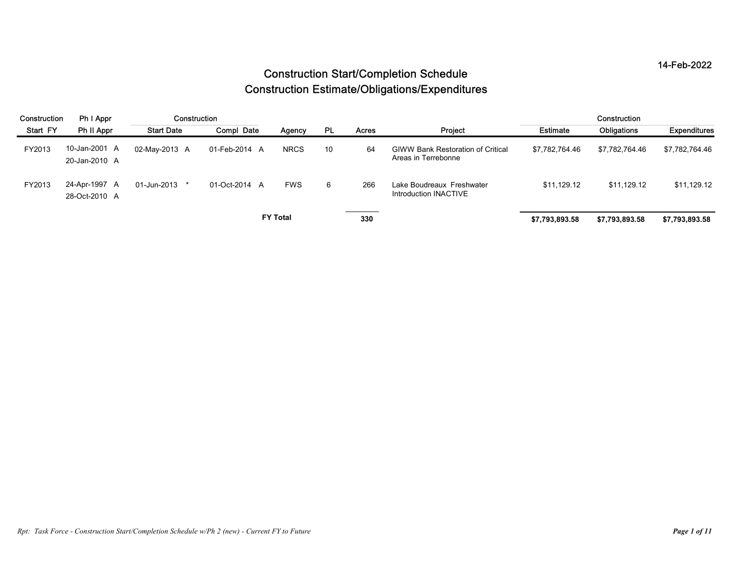| 14-Feb-2022<br><b>Construction Start/Completion Schedule</b><br><b>Construction Estimate/Obligations/Expenditures</b><br>Construction<br>Ph I Appr<br>Construction<br>Construction<br>Start FY<br>Ph II Appr<br><b>Start Date</b><br>Compl Date<br><b>PL</b><br>Project<br>Obligations<br>Acres<br><b>Estimate</b><br>Agency<br>10-Jan-2001 A<br><b>NRCS</b><br>10<br><b>GIWW Bank Restoration of Critical</b><br>02-May-2013 A<br>01-Feb-2014 A<br>64<br>\$7,782,764.46<br>FY2013<br>\$7,782,764.46<br>Areas in Terrebonne<br>20-Jan-2010 A<br>24-Apr-1997 A<br>$6\phantom{.}6$<br>01-Jun-2013 *<br><b>FWS</b><br>Lake Boudreaux Freshwater<br>\$11,129.12<br>\$11,129.12<br>FY2013<br>01-Oct-2014 A<br>266<br>Introduction INACTIVE<br>28-Oct-2010 A<br><b>FY Total</b><br>330<br>\$7,793,893.58<br>\$7,793,893.58<br>\$7,793,893.58 |  |  |  |  |  |  |  |  |                |  |  |  |  |  |
|----------------------------------------------------------------------------------------------------------------------------------------------------------------------------------------------------------------------------------------------------------------------------------------------------------------------------------------------------------------------------------------------------------------------------------------------------------------------------------------------------------------------------------------------------------------------------------------------------------------------------------------------------------------------------------------------------------------------------------------------------------------------------------------------------------------------------------------|--|--|--|--|--|--|--|--|----------------|--|--|--|--|--|
|                                                                                                                                                                                                                                                                                                                                                                                                                                                                                                                                                                                                                                                                                                                                                                                                                                        |  |  |  |  |  |  |  |  |                |  |  |  |  |  |
|                                                                                                                                                                                                                                                                                                                                                                                                                                                                                                                                                                                                                                                                                                                                                                                                                                        |  |  |  |  |  |  |  |  |                |  |  |  |  |  |
|                                                                                                                                                                                                                                                                                                                                                                                                                                                                                                                                                                                                                                                                                                                                                                                                                                        |  |  |  |  |  |  |  |  |                |  |  |  |  |  |
|                                                                                                                                                                                                                                                                                                                                                                                                                                                                                                                                                                                                                                                                                                                                                                                                                                        |  |  |  |  |  |  |  |  |                |  |  |  |  |  |
|                                                                                                                                                                                                                                                                                                                                                                                                                                                                                                                                                                                                                                                                                                                                                                                                                                        |  |  |  |  |  |  |  |  |                |  |  |  |  |  |
|                                                                                                                                                                                                                                                                                                                                                                                                                                                                                                                                                                                                                                                                                                                                                                                                                                        |  |  |  |  |  |  |  |  |                |  |  |  |  |  |
|                                                                                                                                                                                                                                                                                                                                                                                                                                                                                                                                                                                                                                                                                                                                                                                                                                        |  |  |  |  |  |  |  |  |                |  |  |  |  |  |
|                                                                                                                                                                                                                                                                                                                                                                                                                                                                                                                                                                                                                                                                                                                                                                                                                                        |  |  |  |  |  |  |  |  | Expenditures   |  |  |  |  |  |
|                                                                                                                                                                                                                                                                                                                                                                                                                                                                                                                                                                                                                                                                                                                                                                                                                                        |  |  |  |  |  |  |  |  | \$7,782,764.46 |  |  |  |  |  |
|                                                                                                                                                                                                                                                                                                                                                                                                                                                                                                                                                                                                                                                                                                                                                                                                                                        |  |  |  |  |  |  |  |  | \$11,129.12    |  |  |  |  |  |
|                                                                                                                                                                                                                                                                                                                                                                                                                                                                                                                                                                                                                                                                                                                                                                                                                                        |  |  |  |  |  |  |  |  |                |  |  |  |  |  |
|                                                                                                                                                                                                                                                                                                                                                                                                                                                                                                                                                                                                                                                                                                                                                                                                                                        |  |  |  |  |  |  |  |  |                |  |  |  |  |  |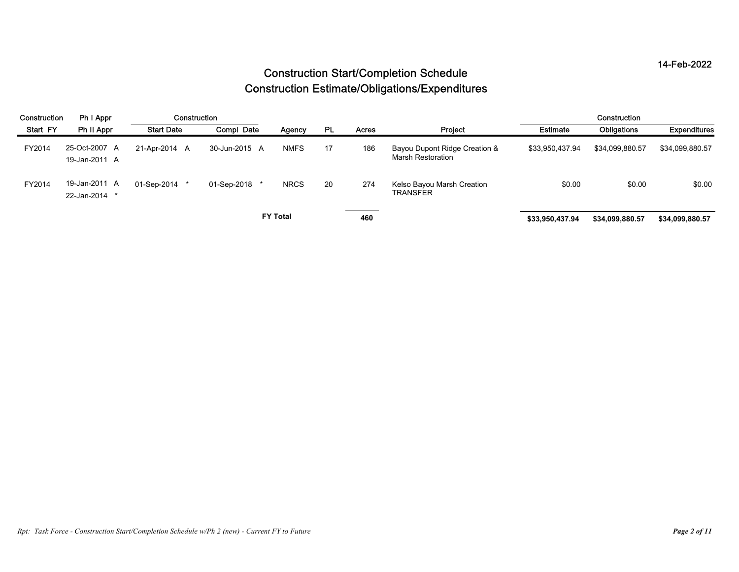|              |                                |                   |               |                                                       |           |                                        | <b>Construction Start/Completion Schedule</b>      |                 |                 | 14-Feb-2022     |
|--------------|--------------------------------|-------------------|---------------|-------------------------------------------------------|-----------|----------------------------------------|----------------------------------------------------|-----------------|-----------------|-----------------|
|              |                                |                   |               | <b>Construction Estimate/Obligations/Expenditures</b> |           |                                        |                                                    |                 |                 |                 |
| Construction | Ph I Appr                      | Construction      |               |                                                       |           |                                        |                                                    |                 | Construction    |                 |
| Start FY     | Ph II Appr                     | <b>Start Date</b> | Compl Date    | Agency                                                | <b>PL</b> | Acres                                  | Project                                            | Estimate        | Obligations     | Expenditures    |
| FY2014       | 25-Oct-2007 A<br>19-Jan-2011 A | 21-Apr-2014 A     | 30-Jun-2015 A | <b>NMFS</b>                                           | 17        | 186                                    | Bayou Dupont Ridge Creation &<br>Marsh Restoration | \$33,950,437.94 | \$34,099,880.57 | \$34,099,880.57 |
|              |                                | 01-Sep-2014 *     | 01-Sep-2018   | <b>NRCS</b>                                           | 20        | 274                                    | Kelso Bayou Marsh Creation<br>TRANSFER             | \$0.00          | \$0.00          | \$0.00          |
| FY2014       | 19-Jan-2011 A<br>22-Jan-2014 * |                   |               |                                                       |           |                                        |                                                    |                 |                 |                 |
|              |                                |                   |               | <b>FY Total</b>                                       |           | the contract of the contract of<br>460 |                                                    | \$33,950,437.94 | \$34,099,880.57 | \$34,099,880.57 |
|              |                                |                   |               |                                                       |           |                                        |                                                    |                 |                 |                 |
|              |                                |                   |               |                                                       |           |                                        |                                                    |                 |                 |                 |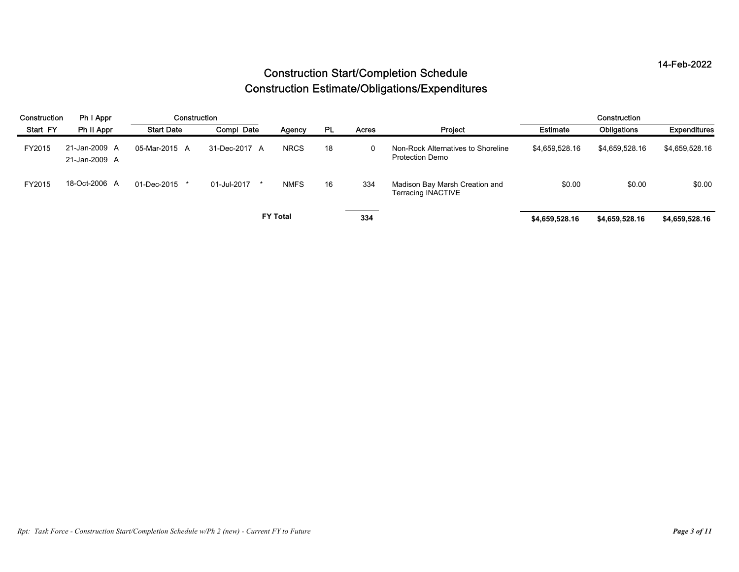|              |                                |                   |                                                       |                 |           |             | <b>Construction Start/Completion Schedule</b>         |                 |                | 14-Feb-2022    |
|--------------|--------------------------------|-------------------|-------------------------------------------------------|-----------------|-----------|-------------|-------------------------------------------------------|-----------------|----------------|----------------|
|              |                                |                   | <b>Construction Estimate/Obligations/Expenditures</b> |                 |           |             |                                                       |                 |                |                |
| Construction | Ph I Appr                      | Construction      |                                                       |                 |           |             |                                                       |                 | Construction   |                |
| Start FY     | Ph II Appr                     | <b>Start Date</b> | Compl Date                                            | Agency          | <b>PL</b> | Acres       | Project                                               | <b>Estimate</b> | Obligations    | Expenditures   |
| FY2015       | 21-Jan-2009 A<br>21-Jan-2009 A | 05-Mar-2015 A     | 31-Dec-2017 A                                         | <b>NRCS</b>     | 18        | $\mathbf 0$ | Non-Rock Alternatives to Shoreline<br>Protection Demo | \$4,659,528.16  | \$4,659,528.16 | \$4,659,528.16 |
| FY2015       | 18-Oct-2006 A                  | 01-Dec-2015 *     | 01-Jul-2017 *                                         | <b>NMFS</b>     | 16        | 334         | Madison Bay Marsh Creation and<br>Terracing INACTIVE  | \$0.00          | \$0.00         | \$0.00         |
|              |                                |                   |                                                       | <b>FY Total</b> |           | 334         |                                                       | \$4,659,528.16  | \$4,659,528.16 | \$4,659,528.16 |
|              |                                |                   |                                                       |                 |           |             |                                                       |                 |                |                |
|              |                                |                   |                                                       |                 |           |             |                                                       |                 |                |                |
|              |                                |                   |                                                       |                 |           |             |                                                       |                 |                |                |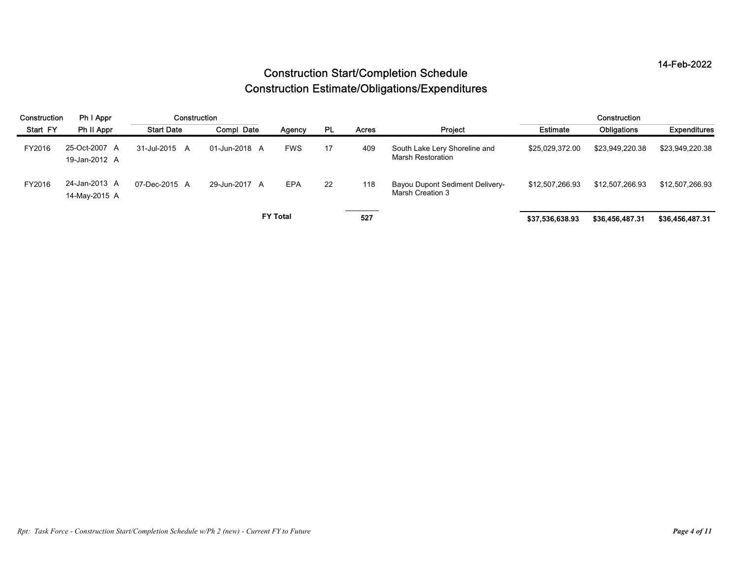|              |                                |                   |                                                                                                        |                 |    |       |                                                     |                 |                 | 14-Feb-2022     |  |  |  |
|--------------|--------------------------------|-------------------|--------------------------------------------------------------------------------------------------------|-----------------|----|-------|-----------------------------------------------------|-----------------|-----------------|-----------------|--|--|--|
|              |                                |                   | <b>Construction Start/Completion Schedule</b><br><b>Construction Estimate/Obligations/Expenditures</b> |                 |    |       |                                                     |                 |                 |                 |  |  |  |
| Construction | Ph I Appr                      | Construction      |                                                                                                        |                 |    |       |                                                     |                 | Construction    |                 |  |  |  |
| Start FY     | Ph II Appr                     | <b>Start Date</b> | Compl Date                                                                                             | Agency          | PL | Acres | Project                                             | <b>Estimate</b> | Obligations     | Expenditures    |  |  |  |
| FY2016       | 25-Oct-2007 A<br>19-Jan-2012 A | 31-Jul-2015 A     | 01-Jun-2018 A                                                                                          | <b>FWS</b>      | 17 | 409   | South Lake Lery Shoreline and<br>Marsh Restoration  | \$25,029,372.00 | \$23,949,220.38 | \$23,949,220.38 |  |  |  |
| FY2016       | 24-Jan-2013 A<br>14-May-2015 A | 07-Dec-2015 A     | 29-Jun-2017 A                                                                                          | EPA             | 22 | 118   | Bayou Dupont Sediment Delivery-<br>Marsh Creation 3 | \$12,507,266.93 | \$12,507,266.93 | \$12,507,266.93 |  |  |  |
|              |                                |                   |                                                                                                        | <b>FY Total</b> |    | 527   |                                                     | \$37,536,638.93 | \$36,456,487.31 | \$36,456,487.31 |  |  |  |
|              |                                |                   |                                                                                                        |                 |    |       |                                                     |                 |                 |                 |  |  |  |
|              |                                |                   |                                                                                                        |                 |    |       |                                                     |                 |                 |                 |  |  |  |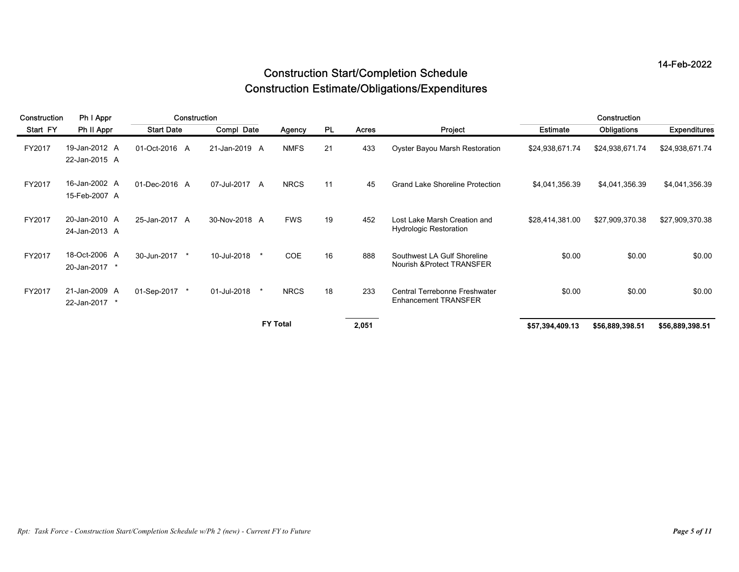|                    |                                              |                                    |                             |                       |                 |                     |                                                                                                        |                                    |                                | 14-Feb-2022                     |
|--------------------|----------------------------------------------|------------------------------------|-----------------------------|-----------------------|-----------------|---------------------|--------------------------------------------------------------------------------------------------------|------------------------------------|--------------------------------|---------------------------------|
|                    |                                              |                                    |                             |                       |                 |                     | <b>Construction Start/Completion Schedule</b><br><b>Construction Estimate/Obligations/Expenditures</b> |                                    |                                |                                 |
| Construction       | Ph I Appr                                    | Construction                       |                             |                       |                 |                     |                                                                                                        |                                    | Construction                   |                                 |
| Start FY<br>FY2017 | Ph II Appr<br>19-Jan-2012 A<br>22-Jan-2015 A | <b>Start Date</b><br>01-Oct-2016 A | Compl Date<br>21-Jan-2019 A | Agency<br><b>NMFS</b> | <b>PL</b><br>21 | <b>Acres</b><br>433 | Project<br>Oyster Bayou Marsh Restoration                                                              | <b>Estimate</b><br>\$24,938,671.74 | Obligations<br>\$24,938,671.74 | Expenditures<br>\$24,938,671.74 |
| FY2017             | 16-Jan-2002 A<br>15-Feb-2007 A               | 01-Dec-2016 A                      | 07-Jul-2017 A               | <b>NRCS</b>           | 11              | 45                  | <b>Grand Lake Shoreline Protection</b>                                                                 | \$4,041,356.39                     | \$4,041,356.39                 | \$4,041,356.39                  |
| FY2017             | 20-Jan-2010 A<br>24-Jan-2013 A               | 25-Jan-2017 A                      | 30-Nov-2018 A               | <b>FWS</b>            | 19              | 452                 | Lost Lake Marsh Creation and<br>Hydrologic Restoration                                                 | \$28,414,381.00                    | \$27,909,370.38                | \$27,909,370.38                 |
| FY2017             | 18-Oct-2006 A<br>20-Jan-2017 *               | 30-Jun-2017                        | 10-Jul-2018                 | COE                   | 16              | 888                 | Southwest LA Gulf Shoreline<br>Nourish & Protect TRANSFER                                              | \$0.00                             | \$0.00                         | \$0.00                          |
|                    |                                              | 01-Sep-2017 *                      | 01-Jul-2018                 | <b>NRCS</b>           | 18              | 233                 | Central Terrebonne Freshwater<br><b>Enhancement TRANSFER</b>                                           | \$0.00                             | \$0.00                         | \$0.00                          |
| FY2017             | 21-Jan-2009 A<br>22-Jan-2017 *               |                                    |                             |                       |                 |                     |                                                                                                        |                                    |                                |                                 |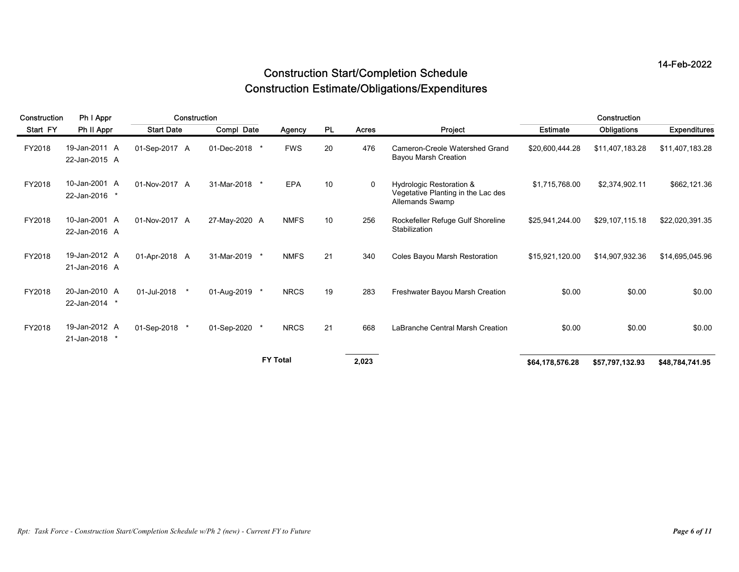|                    |                                              |                                   |                           |                      |                 |              | <b>Construction Start/Completion Schedule</b><br><b>Construction Estimate/Obligations/Expenditures</b> |                                    |                                                 | 14-Feb-2022                     |
|--------------------|----------------------------------------------|-----------------------------------|---------------------------|----------------------|-----------------|--------------|--------------------------------------------------------------------------------------------------------|------------------------------------|-------------------------------------------------|---------------------------------|
| Construction       | Ph I Appr                                    | Construction<br><b>Start Date</b> |                           |                      |                 |              |                                                                                                        |                                    | Construction                                    |                                 |
| Start FY<br>FY2018 | Ph II Appr<br>19-Jan-2011 A<br>22-Jan-2015 A | 01-Sep-2017 A                     | Compl Date<br>01-Dec-2018 | Agency<br><b>FWS</b> | <b>PL</b><br>20 | Acres<br>476 | Project<br>Cameron-Creole Watershed Grand<br>Bayou Marsh Creation                                      | <b>Estimate</b><br>\$20,600,444.28 | Obligations<br>\$11,407,183.28                  | Expenditures<br>\$11,407,183.28 |
| FY2018             | 10-Jan-2001 A<br>22-Jan-2016 *               | 01-Nov-2017 A                     | 31-Mar-2018               | EPA                  | 10              | $\mathbf{0}$ | Hydrologic Restoration &<br>Vegetative Planting in the Lac des<br>Allemands Swamp                      | \$1,715,768.00                     | \$2,374,902.11                                  | \$662,121.36                    |
| FY2018             | 10-Jan-2001 A<br>22-Jan-2016 A               | 01-Nov-2017 A                     | 27-May-2020 A             | <b>NMFS</b>          | 10 <sup>°</sup> | 256          | Rockefeller Refuge Gulf Shoreline<br>Stabilization                                                     | \$25,941,244.00                    | \$29,107,115.18                                 | \$22,020,391.35                 |
| FY2018             | 19-Jan-2012 A<br>21-Jan-2016 A               | 01-Apr-2018 A                     | 31-Mar-2019               | <b>NMFS</b>          | 21              | 340          | Coles Bayou Marsh Restoration                                                                          | \$15,921,120.00                    | \$14,907,932.36                                 | \$14,695,045.96                 |
| FY2018             | 20-Jan-2010 A<br>22-Jan-2014 *               | 01-Jul-2018                       | 01-Aug-2019               | <b>NRCS</b>          | 19              | 283          | Freshwater Bayou Marsh Creation                                                                        | \$0.00                             | \$0.00                                          | \$0.00                          |
| FY2018             | 19-Jan-2012 A<br>21-Jan-2018 *               | 01-Sep-2018 *                     | 01-Sep-2020 *             | <b>NRCS</b>          | 21              | 668          | LaBranche Central Marsh Creation                                                                       | \$0.00                             | \$0.00                                          | \$0.00                          |
|                    |                                              |                                   |                           | <b>FY Total</b>      |                 | 2,023        |                                                                                                        |                                    | \$64,178,576.28 \$57,797,132.93 \$48,784,741.95 |                                 |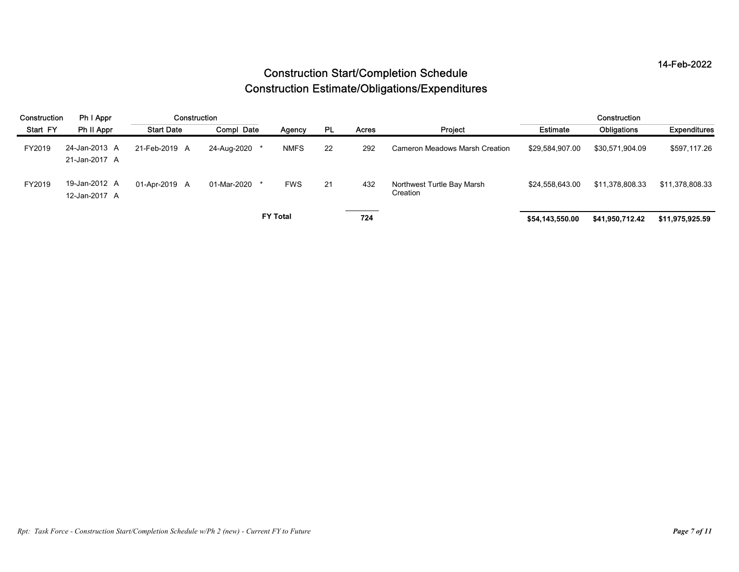|              |                                |                   |               |                                                                                                        |    |       |                                        |                 |                 | 14-Feb-2022     |  |  |  |  |
|--------------|--------------------------------|-------------------|---------------|--------------------------------------------------------------------------------------------------------|----|-------|----------------------------------------|-----------------|-----------------|-----------------|--|--|--|--|
|              |                                |                   |               | <b>Construction Start/Completion Schedule</b><br><b>Construction Estimate/Obligations/Expenditures</b> |    |       |                                        |                 |                 |                 |  |  |  |  |
| Construction | Ph I Appr                      | Construction      |               |                                                                                                        |    |       |                                        |                 | Construction    |                 |  |  |  |  |
| Start FY     | Ph II Appr                     | <b>Start Date</b> | Compl Date    | Agency                                                                                                 | PL | Acres | Project                                | <b>Estimate</b> | Obligations     | Expenditures    |  |  |  |  |
| FY2019       | 24-Jan-2013 A<br>21-Jan-2017 A | 21-Feb-2019 A     | 24-Aug-2020 * | <b>NMFS</b>                                                                                            | 22 | 292   | <b>Cameron Meadows Marsh Creation</b>  | \$29,584,907.00 | \$30,571,904.09 | \$597,117.26    |  |  |  |  |
| FY2019       | 19-Jan-2012 A<br>12-Jan-2017 A | 01-Apr-2019 A     | 01-Mar-2020 * | <b>FWS</b>                                                                                             | 21 | 432   | Northwest Turtle Bay Marsh<br>Creation | \$24,558,643.00 | \$11,378,808.33 | \$11,378,808.33 |  |  |  |  |
|              |                                |                   |               | <b>FY Total</b>                                                                                        |    | 724   |                                        | \$54,143,550.00 | \$41,950,712.42 | \$11,975,925.59 |  |  |  |  |
|              |                                |                   |               |                                                                                                        |    |       |                                        |                 |                 |                 |  |  |  |  |
|              |                                |                   |               |                                                                                                        |    |       |                                        |                 |                 |                 |  |  |  |  |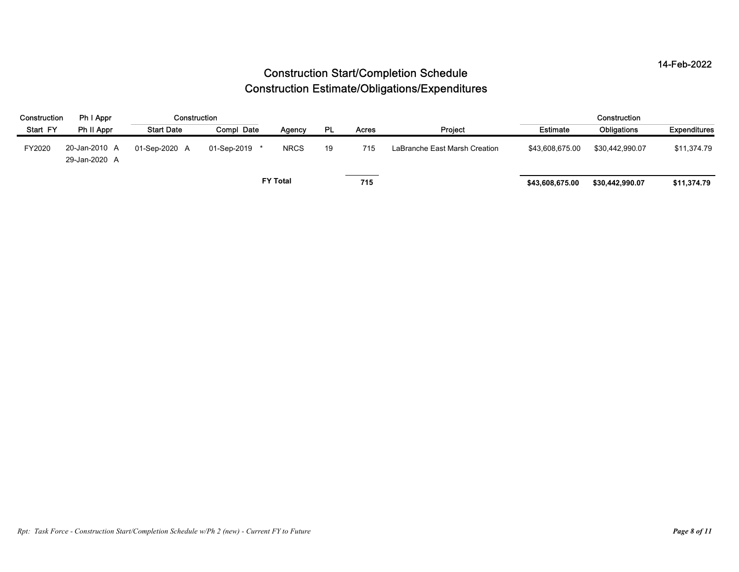|                          |                                |                                   |               |                 |    |              |                                                                                                        |                 |                             | 14-Feb-2022                |
|--------------------------|--------------------------------|-----------------------------------|---------------|-----------------|----|--------------|--------------------------------------------------------------------------------------------------------|-----------------|-----------------------------|----------------------------|
|                          |                                |                                   |               |                 |    |              | <b>Construction Start/Completion Schedule</b><br><b>Construction Estimate/Obligations/Expenditures</b> |                 |                             |                            |
|                          |                                |                                   |               |                 |    |              |                                                                                                        |                 |                             |                            |
|                          |                                |                                   |               |                 |    |              |                                                                                                        |                 |                             |                            |
| Construction<br>Start FY | Ph I Appr<br>Ph II Appr        | Construction<br><b>Start Date</b> | Compl Date    | Agency          | PL | <b>Acres</b> | Project                                                                                                | <b>Estimate</b> | Construction<br>Obligations |                            |
| FY2020                   | 20-Jan-2010 A<br>29-Jan-2020 A | 01-Sep-2020 A                     | 01-Sep-2019 * | <b>NRCS</b>     | 19 | 715          | LaBranche East Marsh Creation                                                                          | \$43,608,675.00 | \$30,442,990.07             |                            |
|                          |                                |                                   |               | <b>FY Total</b> |    | 715          |                                                                                                        | \$43,608,675.00 | \$30,442,990.07             | \$11,374.79<br>\$11,374.79 |
|                          |                                |                                   |               |                 |    |              |                                                                                                        |                 |                             | Expenditures               |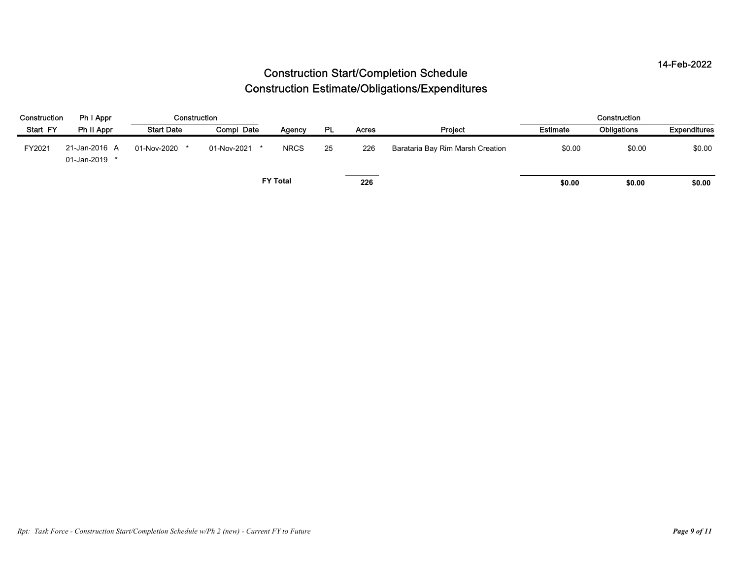|              |                                |                   |               |                 |           |              | <b>Construction Start/Completion Schedule</b>         |          |              | 14-Feb-2022  |
|--------------|--------------------------------|-------------------|---------------|-----------------|-----------|--------------|-------------------------------------------------------|----------|--------------|--------------|
|              |                                |                   |               |                 |           |              | <b>Construction Estimate/Obligations/Expenditures</b> |          |              |              |
| Construction |                                |                   |               |                 |           |              |                                                       |          |              |              |
|              | Ph I Appr                      | Construction      |               |                 |           |              |                                                       |          | Construction |              |
| Start FY     | Ph II Appr                     | <b>Start Date</b> | Compl Date    | Agency          | <b>PL</b> | <b>Acres</b> | Project                                               | Estimate | Obligations  | Expenditures |
| FY2021       | 21-Jan-2016 A<br>01-Jan-2019 * | 01-Nov-2020 *     | 01-Nov-2021 * | <b>NRCS</b>     | 25        | 226          | Barataria Bay Rim Marsh Creation                      | \$0.00   | \$0.00       | \$0.00       |
|              |                                |                   |               | <b>FY Total</b> |           | 226          |                                                       | \$0.00   | \$0.00       | \$0.00       |
|              |                                |                   |               |                 |           |              |                                                       |          |              |              |
|              |                                |                   |               |                 |           |              |                                                       |          |              |              |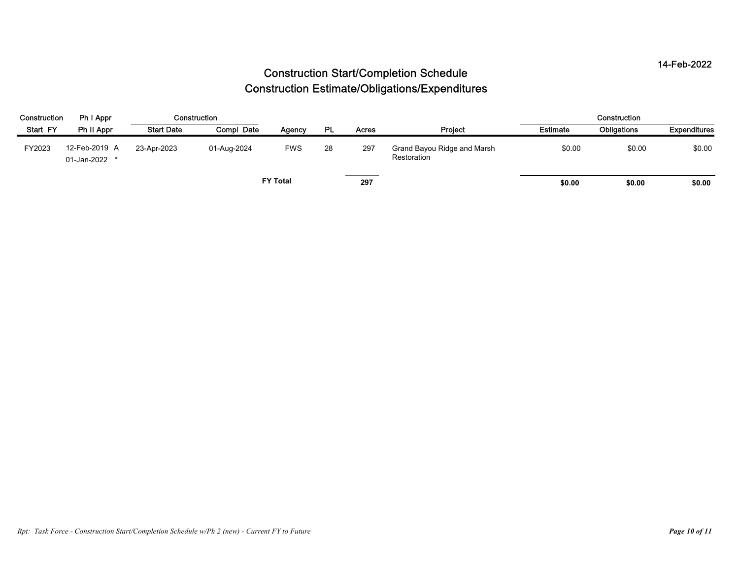|              |                                |                   |             |                 |    |              | <b>Construction Start/Completion Schedule</b>         |          |              | 14-Feb-2022  |
|--------------|--------------------------------|-------------------|-------------|-----------------|----|--------------|-------------------------------------------------------|----------|--------------|--------------|
|              |                                |                   |             |                 |    |              | <b>Construction Estimate/Obligations/Expenditures</b> |          |              |              |
|              |                                |                   |             |                 |    |              |                                                       |          |              |              |
| Construction | Ph I Appr                      | Construction      |             |                 |    |              |                                                       |          | Construction |              |
| Start FY     | Ph II Appr                     | <b>Start Date</b> | Compl Date  | Agency          | PL | <b>Acres</b> | Project                                               | Estimate | Obligations  | Expenditures |
| FY2023       | 12-Feb-2019 A<br>01-Jan-2022 * | 23-Apr-2023       | 01-Aug-2024 | <b>FWS</b>      | 28 | 297          | Grand Bayou Ridge and Marsh<br>Restoration            | \$0.00   | \$0.00       | \$0.00       |
|              |                                |                   |             | <b>FY Total</b> |    | 297          |                                                       | \$0.00   | \$0.00       | \$0.00       |
|              |                                |                   |             |                 |    |              |                                                       |          |              |              |
|              |                                |                   |             |                 |    |              |                                                       |          |              |              |